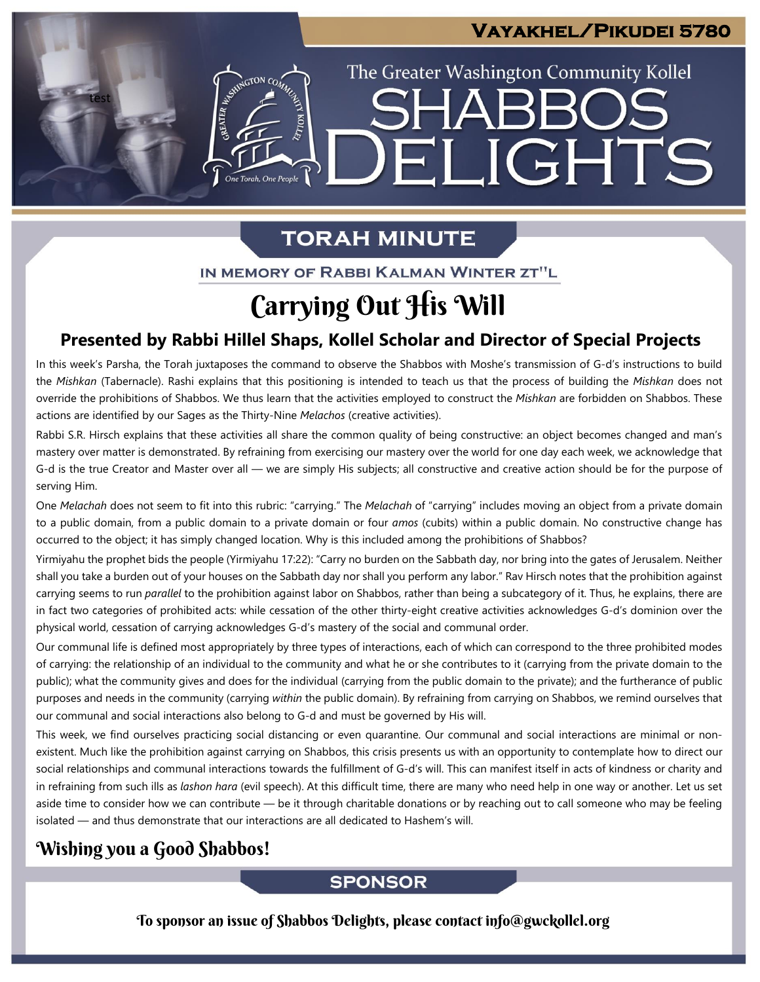## **Vayakhel/Pikudei 5780**

The Greater Washington Community Kollel

ELIGHTS

# **TORAH MINUTE**

One Torah, One People

IN MEMORY OF RABBI KALMAN WINTER ZT"L

# Carrying Out His Will

## **Presented by Rabbi Hillel Shaps, Kollel Scholar and Director of Special Projects**

In this week's Parsha, the Torah juxtaposes the command to observe the Shabbos with Moshe's transmission of G-d's instructions to build the *Mishkan* (Tabernacle). Rashi explains that this positioning is intended to teach us that the process of building the *Mishkan* does not override the prohibitions of Shabbos. We thus learn that the activities employed to construct the *Mishkan* are forbidden on Shabbos. These actions are identified by our Sages as the Thirty-Nine *Melachos* (creative activities).

Rabbi S.R. Hirsch explains that these activities all share the common quality of being constructive: an object becomes changed and man's mastery over matter is demonstrated. By refraining from exercising our mastery over the world for one day each week, we acknowledge that G-d is the true Creator and Master over all — we are simply His subjects; all constructive and creative action should be for the purpose of serving Him.

One *Melachah* does not seem to fit into this rubric: "carrying." The *Melachah* of "carrying" includes moving an object from a private domain to a public domain, from a public domain to a private domain or four *amos* (cubits) within a public domain. No constructive change has occurred to the object; it has simply changed location. Why is this included among the prohibitions of Shabbos?

Yirmiyahu the prophet bids the people (Yirmiyahu 17:22): "Carry no burden on the Sabbath day, nor bring into the gates of Jerusalem. Neither shall you take a burden out of your houses on the Sabbath day nor shall you perform any labor." Rav Hirsch notes that the prohibition against carrying seems to run *parallel* to the prohibition against labor on Shabbos, rather than being a subcategory of it. Thus, he explains, there are in fact two categories of prohibited acts: while cessation of the other thirty-eight creative activities acknowledges G-d's dominion over the physical world, cessation of carrying acknowledges G-d's mastery of the social and communal order.

Our communal life is defined most appropriately by three types of interactions, each of which can correspond to the three prohibited modes of carrying: the relationship of an individual to the community and what he or she contributes to it (carrying from the private domain to the public); what the community gives and does for the individual (carrying from the public domain to the private); and the furtherance of public purposes and needs in the community (carrying *within* the public domain). By refraining from carrying on Shabbos, we remind ourselves that our communal and social interactions also belong to G-d and must be governed by His will.

This week, we find ourselves practicing social distancing or even quarantine. Our communal and social interactions are minimal or nonexistent. Much like the prohibition against carrying on Shabbos, this crisis presents us with an opportunity to contemplate how to direct our social relationships and communal interactions towards the fulfillment of G-d's will. This can manifest itself in acts of kindness or charity and in refraining from such ills as *lashon hara* (evil speech). At this difficult time, there are many who need help in one way or another. Let us set aside time to consider how we can contribute — be it through charitable donations or by reaching out to call someone who may be feeling isolated — and thus demonstrate that our interactions are all dedicated to Hashem's will.

## Wishing you a Good Shabbos!

test

**SPONSOR** 

To sponsor an issue of Shabbos Delights, please contact info@gwckollel.org